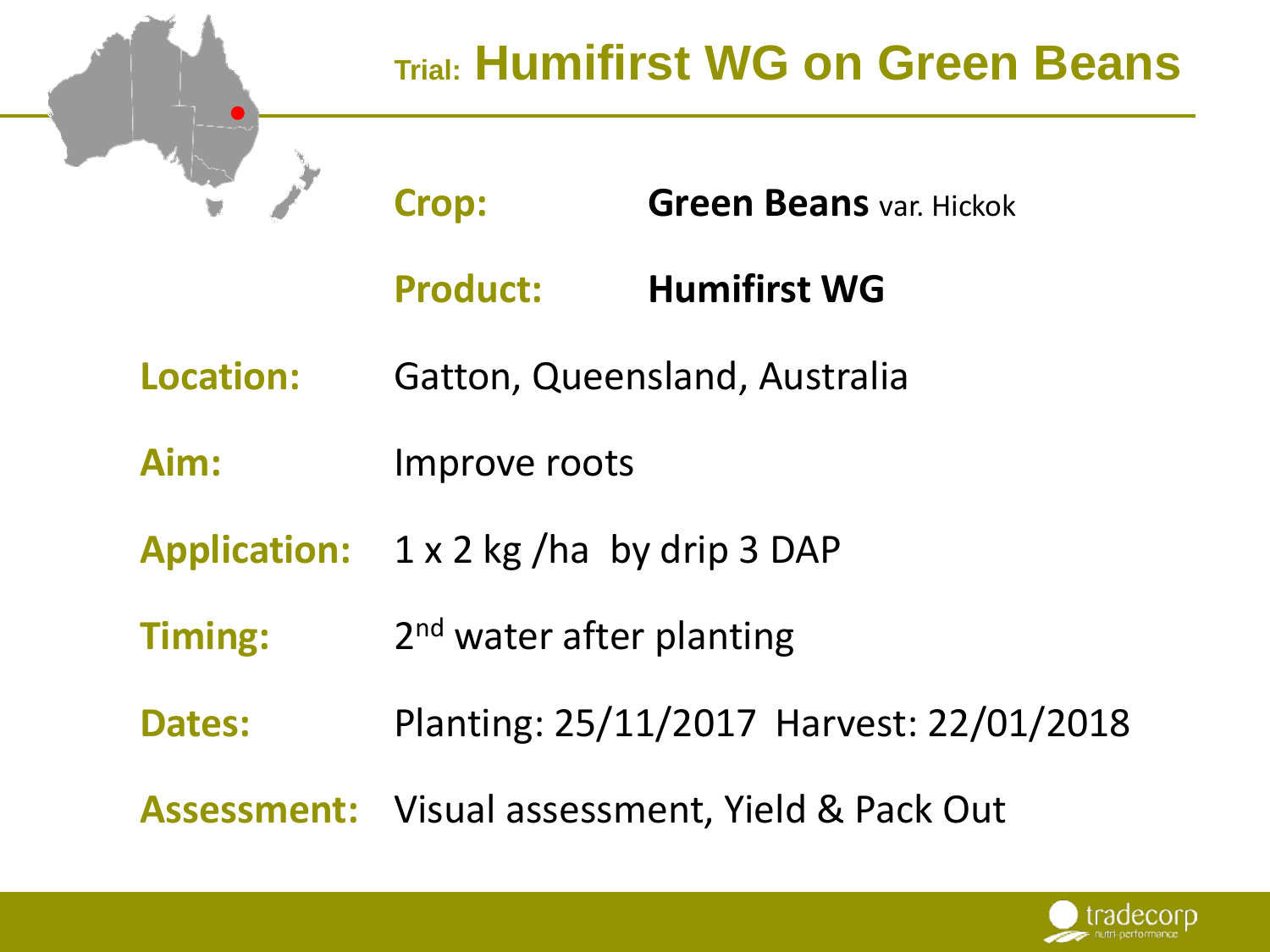

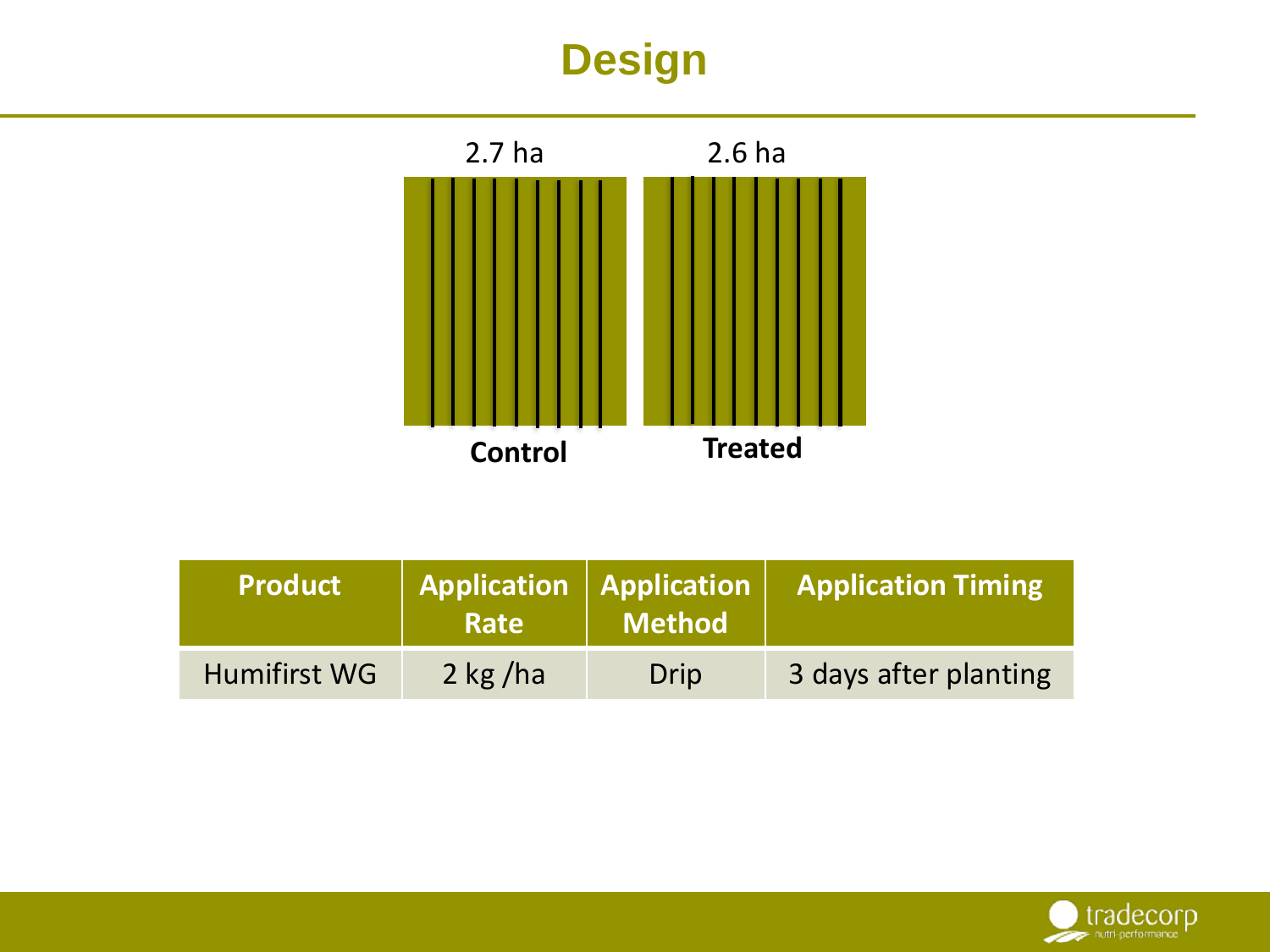# **Design**



| <b>Product</b> | Application   Application  <br>Rate | Method | <b>Application Timing</b> |
|----------------|-------------------------------------|--------|---------------------------|
| Humifirst WG   | $2$ kg/ha                           | Drip   | 3 days after planting     |

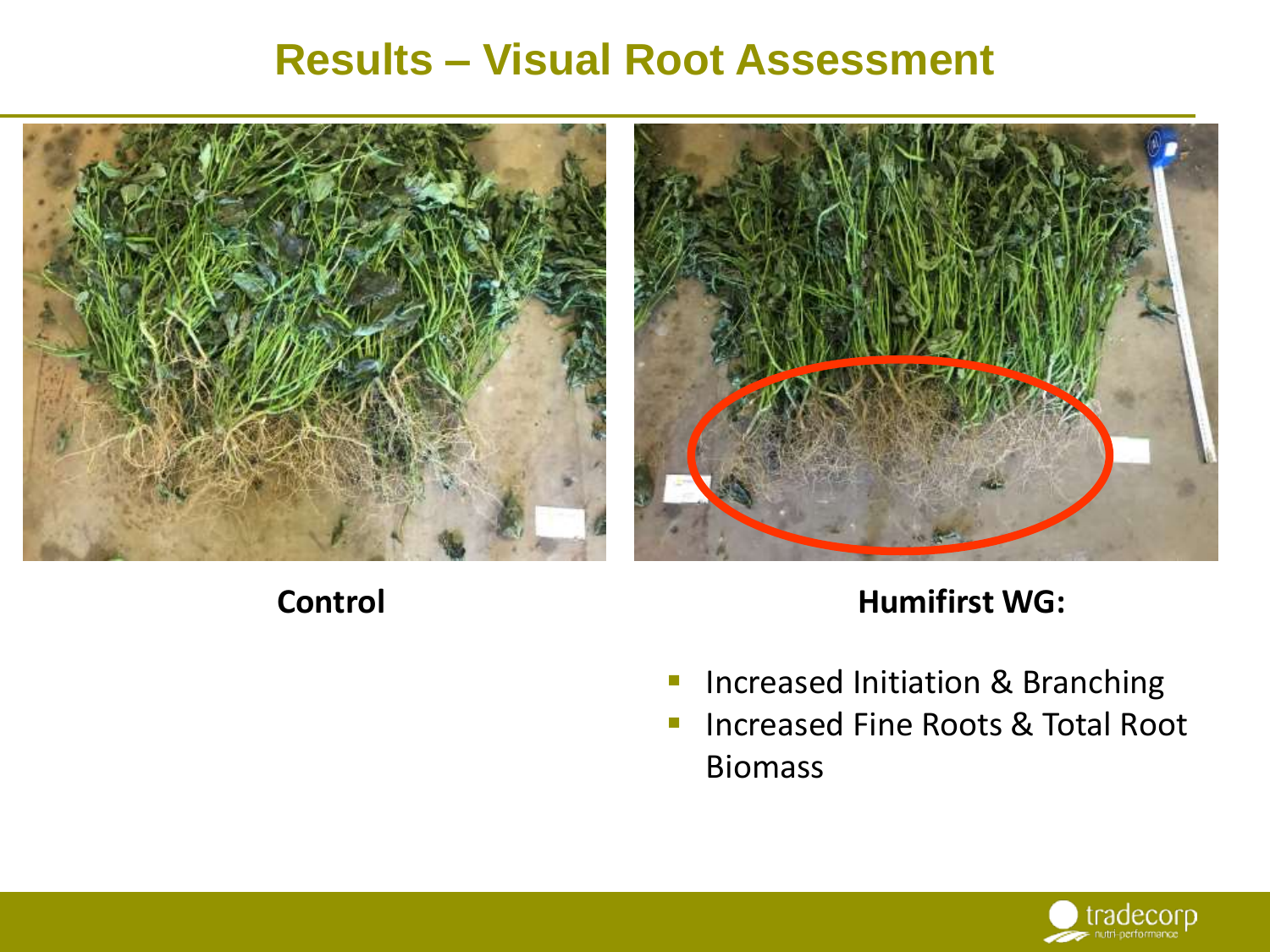#### **Results – Visual Root Assessment**





#### **Control**

#### **Humifirst WG:**

- **Increased Initiation & Branching**
- **Increased Fine Roots & Total Root** Biomass

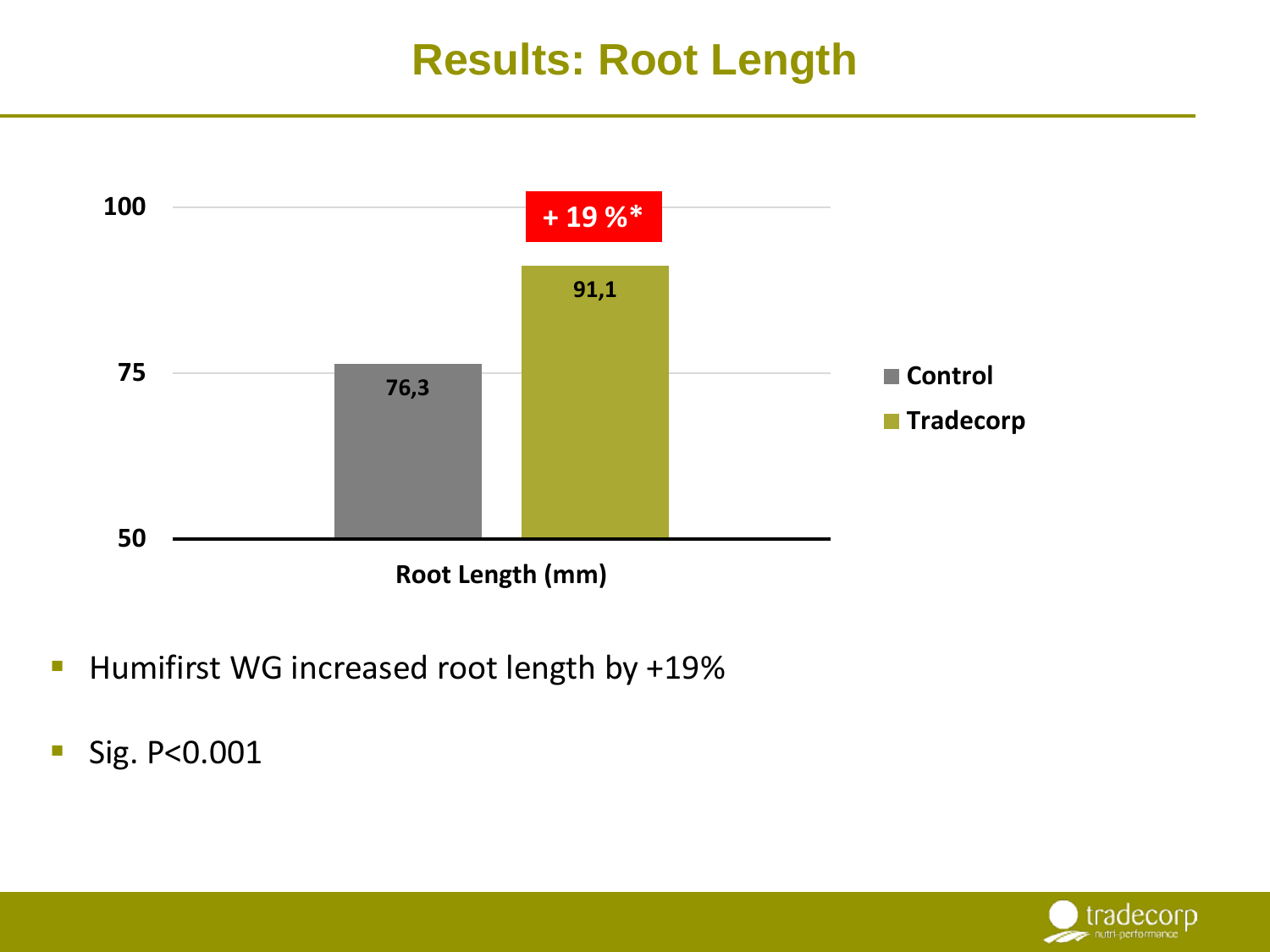### **Results: Root Length**



- Humifirst WG increased root length by +19%
- Sig. P<0.001

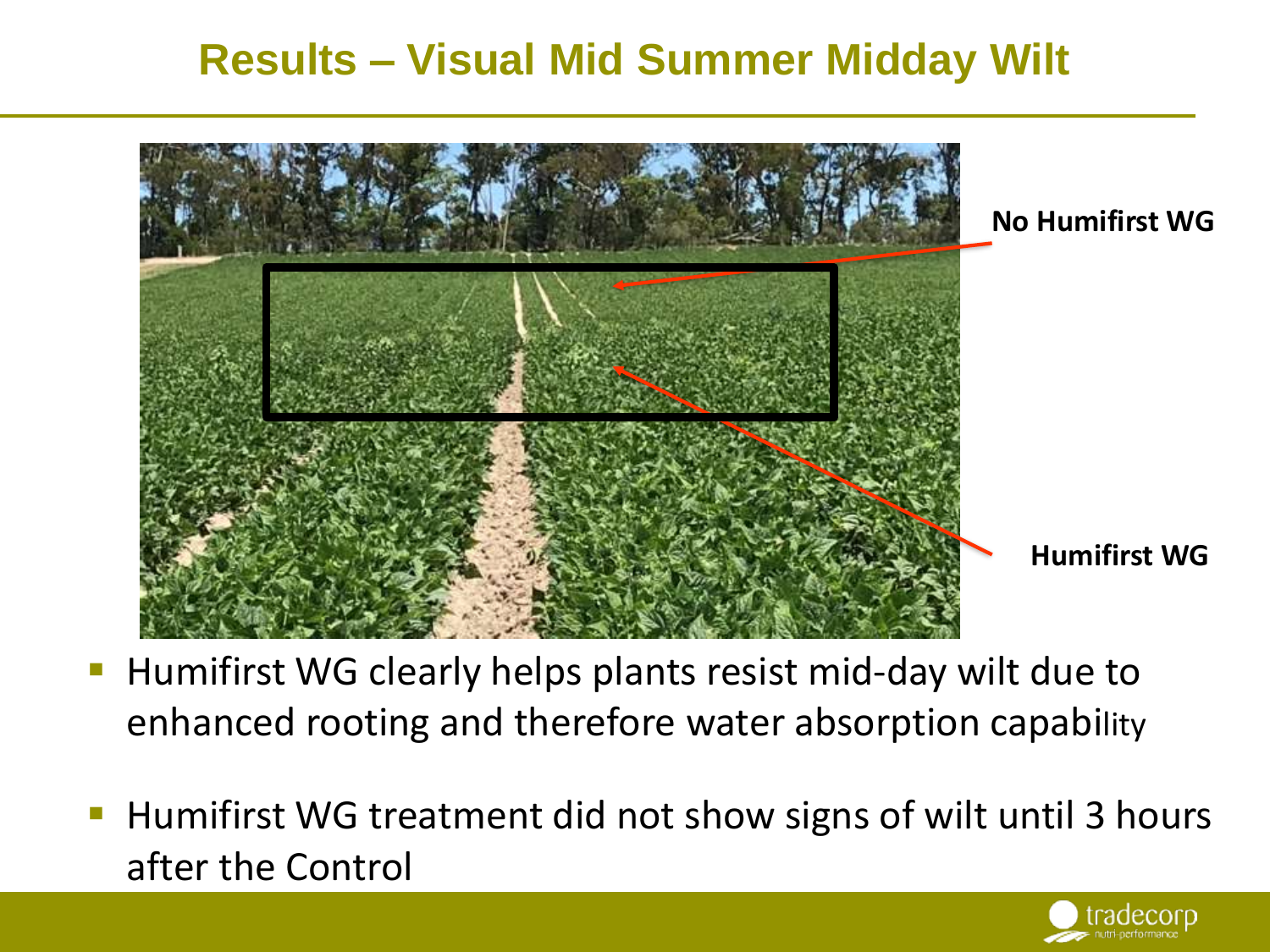## **Results – Visual Mid Summer Midday Wilt**



- Humifirst WG clearly helps plants resist mid-day wilt due to enhanced rooting and therefore water absorption capability
- Humifirst WG treatment did not show signs of wilt until 3 hours after the Control

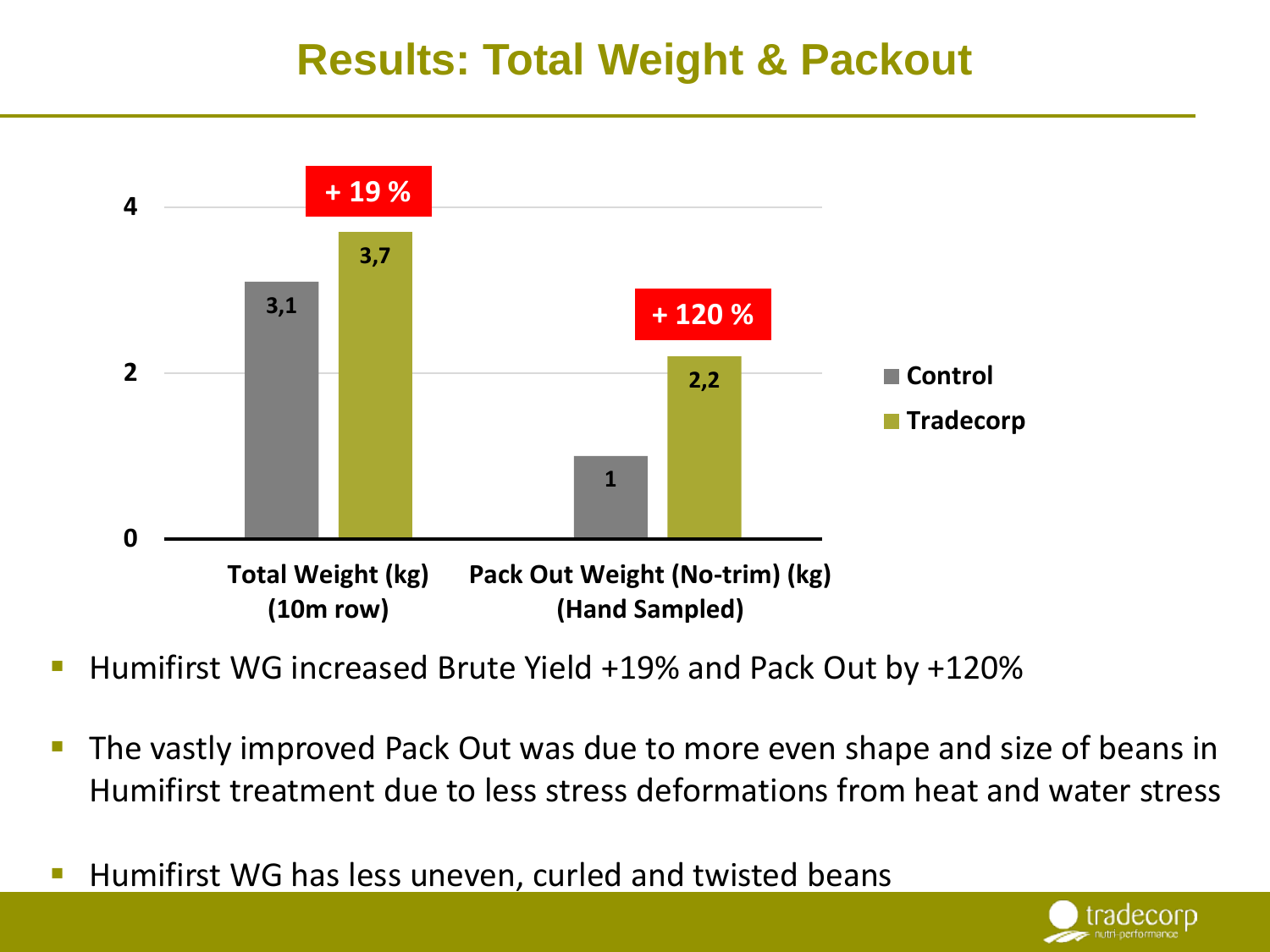### **Results: Total Weight & Packout**



- Humifirst WG increased Brute Yield +19% and Pack Out by +120%
- The vastly improved Pack Out was due to more even shape and size of beans in Humifirst treatment due to less stress deformations from heat and water stress
- Humifirst WG has less uneven, curled and twisted beans